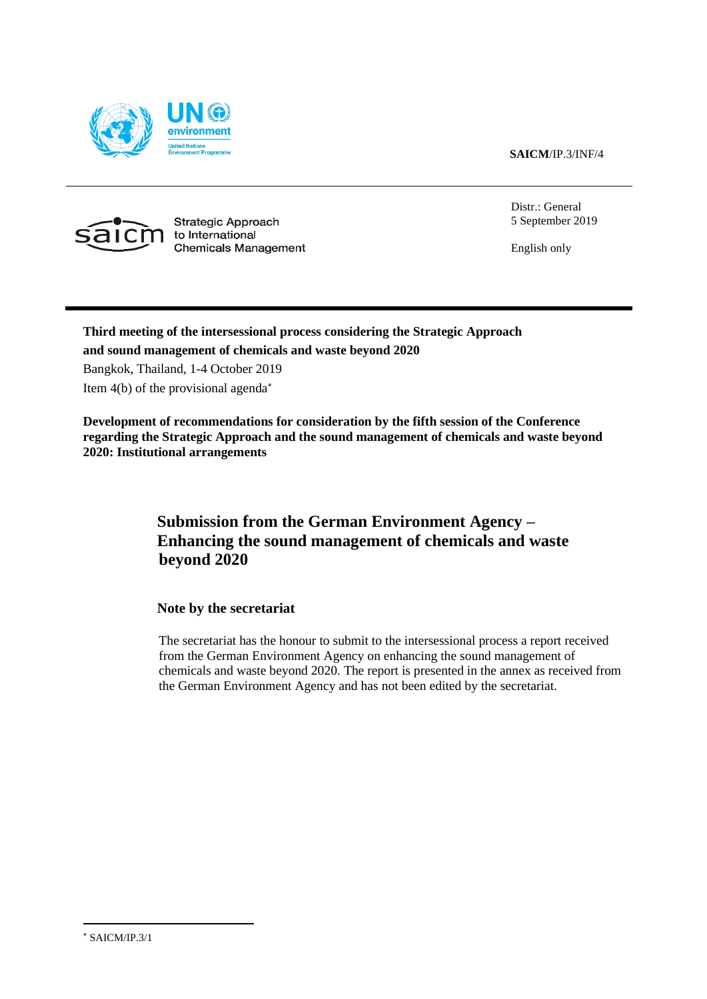**SAICM**/IP.3/INF/4





Strategic Approach to International **Chemicals Management**  Distr.: General 5 September 2019

English only

## **Third meeting of the intersessional process considering the Strategic Approach and sound management of chemicals and waste beyond 2020**

Bangkok, Thailand, 1-4 October 2019

Item 4(b) of the provisional agenda

**Development of recommendations for consideration by the fifth session of the Conference regarding the Strategic Approach and the sound management of chemicals and waste beyond 2020: Institutional arrangements**

### **Submission from the German Environment Agency – Enhancing the sound management of chemicals and waste beyond 2020**

**Note by the secretariat**

The secretariat has the honour to submit to the intersessional process a report received from the German Environment Agency on enhancing the sound management of chemicals and waste beyond 2020. The report is presented in the annex as received from the German Environment Agency and has not been edited by the secretariat.

SAICM/IP.3/1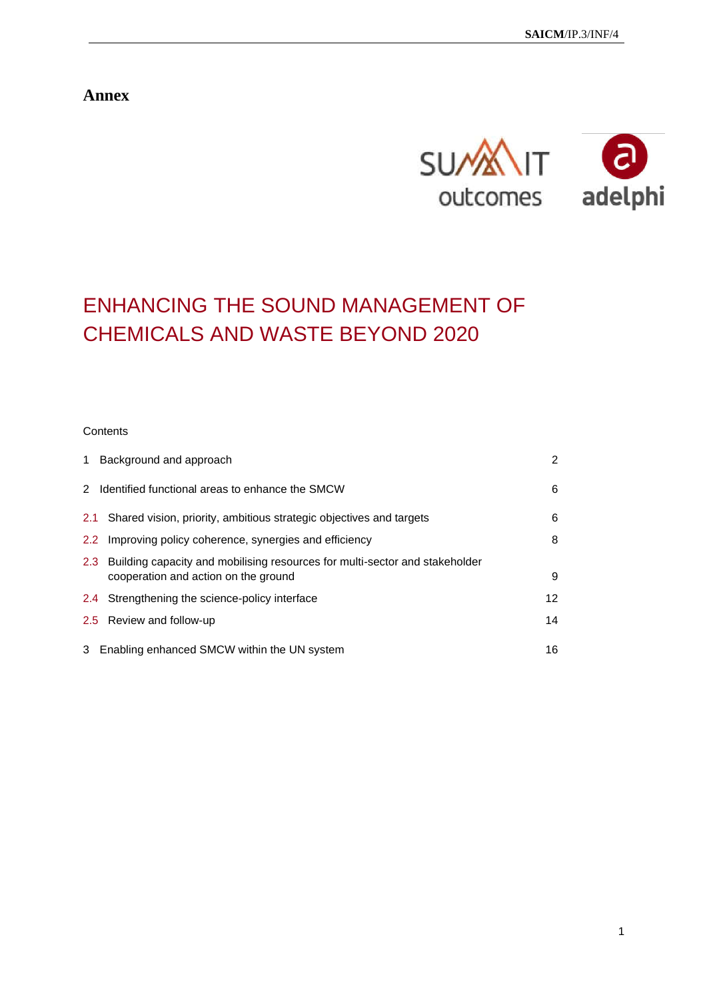**Annex**



# ENHANCING THE SOUND MANAGEMENT OF CHEMICALS AND WASTE BEYOND 2020

#### **Contents**

| $\mathbf{1}$  | Background and approach                                                                                                 | $\overline{2}$ |
|---------------|-------------------------------------------------------------------------------------------------------------------------|----------------|
|               | 2 Identified functional areas to enhance the SMCW                                                                       | 6              |
| 2.1           | Shared vision, priority, ambitious strategic objectives and targets                                                     | 6              |
| $2.2^{\circ}$ | Improving policy coherence, synergies and efficiency                                                                    | 8              |
|               | 2.3 Building capacity and mobilising resources for multi-sector and stakeholder<br>cooperation and action on the ground | 9              |
|               | 2.4 Strengthening the science-policy interface                                                                          | 12             |
|               | 2.5 Review and follow-up                                                                                                | 14             |
|               | 3 Enabling enhanced SMCW within the UN system                                                                           | 16             |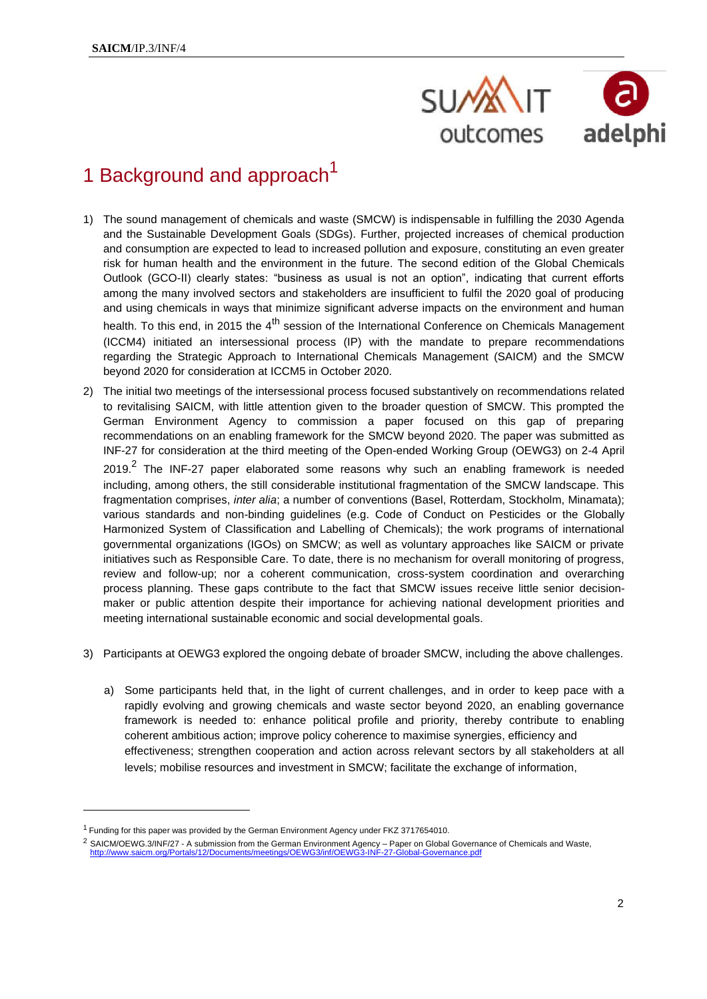

# 1 Background and approach<sup>1</sup>

- 1) The sound management of chemicals and waste (SMCW) is indispensable in fulfilling the 2030 Agenda and the Sustainable Development Goals (SDGs). Further, projected increases of chemical production and consumption are expected to lead to increased pollution and exposure, constituting an even greater risk for human health and the environment in the future. The second edition of the Global Chemicals Outlook (GCO-II) clearly states: "business as usual is not an option", indicating that current efforts among the many involved sectors and stakeholders are insufficient to fulfil the 2020 goal of producing and using chemicals in ways that minimize significant adverse impacts on the environment and human health. To this end, in 2015 the 4<sup>th</sup> session of the International Conference on Chemicals Management (ICCM4) initiated an intersessional process (IP) with the mandate to prepare recommendations regarding the Strategic Approach to International Chemicals Management (SAICM) and the SMCW beyond 2020 for consideration at ICCM5 in October 2020.
- 2) The initial two meetings of the intersessional process focused substantively on recommendations related to revitalising SAICM, with little attention given to the broader question of SMCW. This prompted the German Environment Agency to commission a paper focused on this gap of preparing recommendations on an enabling framework for the SMCW beyond 2020. The paper was submitted as INF-27 for consideration at the third meeting of the Open-ended Working Group (OEWG3) on 2-4 April 2019.<sup>2</sup> The INF-27 paper elaborated some reasons why such an enabling framework is needed including, among others, the still considerable institutional fragmentation of the SMCW landscape. This fragmentation comprises, *inter alia*; a number of conventions (Basel, Rotterdam, Stockholm, Minamata); various standards and non-binding guidelines (e.g. Code of Conduct on Pesticides or the Globally Harmonized System of Classification and Labelling of Chemicals); the work programs of international governmental organizations (IGOs) on SMCW; as well as voluntary approaches like SAICM or private initiatives such as Responsible Care. To date, there is no mechanism for overall monitoring of progress, review and follow-up; nor a coherent communication, cross-system coordination and overarching process planning. These gaps contribute to the fact that SMCW issues receive little senior decisionmaker or public attention despite their importance for achieving national development priorities and meeting international sustainable economic and social developmental goals.
- 3) Participants at OEWG3 explored the ongoing debate of broader SMCW, including the above challenges.
	- a) Some participants held that, in the light of current challenges, and in order to keep pace with a rapidly evolving and growing chemicals and waste sector beyond 2020, an enabling governance framework is needed to: enhance political profile and priority, thereby contribute to enabling coherent ambitious action; improve policy coherence to maximise synergies, efficiency and effectiveness; strengthen cooperation and action across relevant sectors by all stakeholders at all levels; mobilise resources and investment in SMCW; facilitate the exchange of information,

<sup>1</sup> Funding for this paper was provided by the German Environment Agency under FKZ 3717654010.

<sup>&</sup>lt;sup>2</sup> SAICM/OEWG.3/INF/27 - A submission from the German Environment Agency – Paper on Global Governance of Chemicals and Waste, etinas/OEWG3/inf/OEWG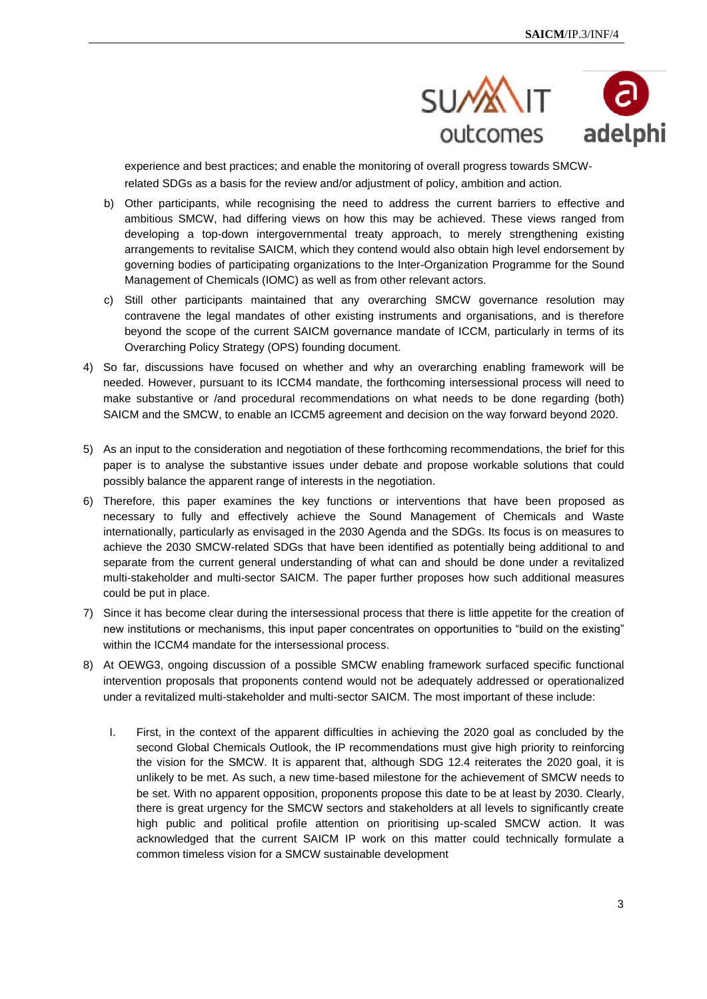

experience and best practices; and enable the monitoring of overall progress towards SMCWrelated SDGs as a basis for the review and/or adjustment of policy, ambition and action.

- b) Other participants, while recognising the need to address the current barriers to effective and ambitious SMCW, had differing views on how this may be achieved. These views ranged from developing a top-down intergovernmental treaty approach, to merely strengthening existing arrangements to revitalise SAICM, which they contend would also obtain high level endorsement by governing bodies of participating organizations to the Inter-Organization Programme for the Sound Management of Chemicals (IOMC) as well as from other relevant actors.
- c) Still other participants maintained that any overarching SMCW governance resolution may contravene the legal mandates of other existing instruments and organisations, and is therefore beyond the scope of the current SAICM governance mandate of ICCM, particularly in terms of its Overarching Policy Strategy (OPS) founding document.
- 4) So far, discussions have focused on whether and why an overarching enabling framework will be needed. However, pursuant to its ICCM4 mandate, the forthcoming intersessional process will need to make substantive or /and procedural recommendations on what needs to be done regarding (both) SAICM and the SMCW, to enable an ICCM5 agreement and decision on the way forward beyond 2020.
- 5) As an input to the consideration and negotiation of these forthcoming recommendations, the brief for this paper is to analyse the substantive issues under debate and propose workable solutions that could possibly balance the apparent range of interests in the negotiation.
- 6) Therefore, this paper examines the key functions or interventions that have been proposed as necessary to fully and effectively achieve the Sound Management of Chemicals and Waste internationally, particularly as envisaged in the 2030 Agenda and the SDGs. Its focus is on measures to achieve the 2030 SMCW-related SDGs that have been identified as potentially being additional to and separate from the current general understanding of what can and should be done under a revitalized multi-stakeholder and multi-sector SAICM. The paper further proposes how such additional measures could be put in place.
- 7) Since it has become clear during the intersessional process that there is little appetite for the creation of new institutions or mechanisms, this input paper concentrates on opportunities to "build on the existing" within the ICCM4 mandate for the intersessional process.
- 8) At OEWG3, ongoing discussion of a possible SMCW enabling framework surfaced specific functional intervention proposals that proponents contend would not be adequately addressed or operationalized under a revitalized multi-stakeholder and multi-sector SAICM. The most important of these include:
	- I. First, in the context of the apparent difficulties in achieving the 2020 goal as concluded by the second Global Chemicals Outlook, the IP recommendations must give high priority to reinforcing the vision for the SMCW. It is apparent that, although SDG 12.4 reiterates the 2020 goal, it is unlikely to be met. As such, a new time-based milestone for the achievement of SMCW needs to be set. With no apparent opposition, proponents propose this date to be at least by 2030. Clearly, there is great urgency for the SMCW sectors and stakeholders at all levels to significantly create high public and political profile attention on prioritising up-scaled SMCW action. It was acknowledged that the current SAICM IP work on this matter could technically formulate a common timeless vision for a SMCW sustainable development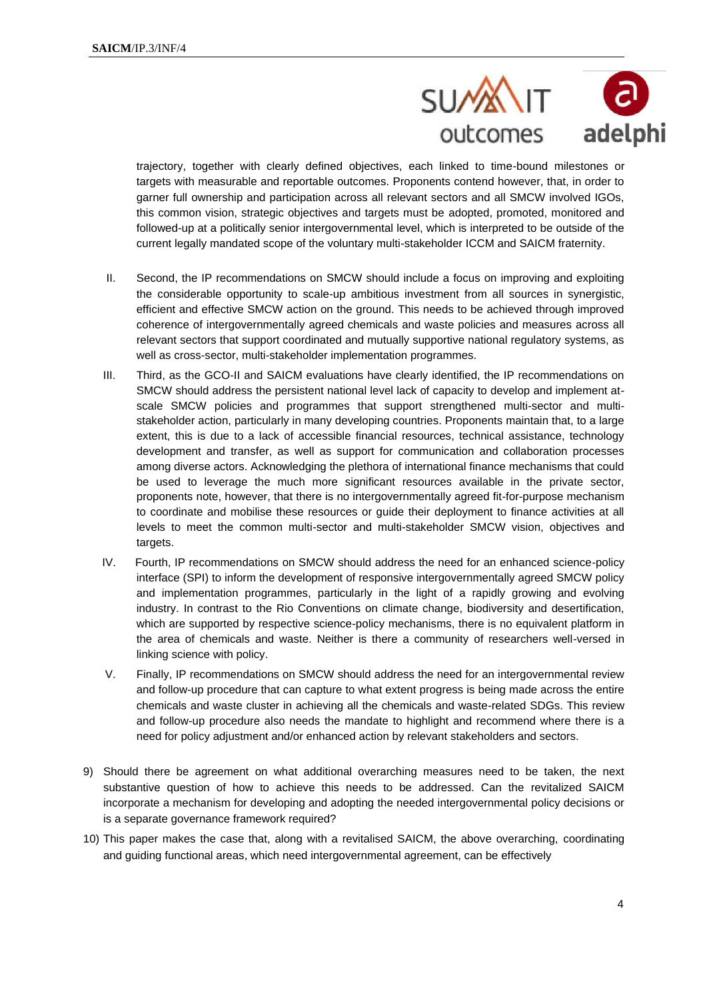

trajectory, together with clearly defined objectives, each linked to time-bound milestones or targets with measurable and reportable outcomes. Proponents contend however, that, in order to garner full ownership and participation across all relevant sectors and all SMCW involved IGOs, this common vision, strategic objectives and targets must be adopted, promoted, monitored and followed-up at a politically senior intergovernmental level, which is interpreted to be outside of the current legally mandated scope of the voluntary multi-stakeholder ICCM and SAICM fraternity.

- II. Second, the IP recommendations on SMCW should include a focus on improving and exploiting the considerable opportunity to scale-up ambitious investment from all sources in synergistic, efficient and effective SMCW action on the ground. This needs to be achieved through improved coherence of intergovernmentally agreed chemicals and waste policies and measures across all relevant sectors that support coordinated and mutually supportive national regulatory systems, as well as cross-sector, multi-stakeholder implementation programmes.
- III. Third, as the GCO-II and SAICM evaluations have clearly identified, the IP recommendations on SMCW should address the persistent national level lack of capacity to develop and implement atscale SMCW policies and programmes that support strengthened multi-sector and multistakeholder action, particularly in many developing countries. Proponents maintain that, to a large extent, this is due to a lack of accessible financial resources, technical assistance, technology development and transfer, as well as support for communication and collaboration processes among diverse actors. Acknowledging the plethora of international finance mechanisms that could be used to leverage the much more significant resources available in the private sector, proponents note, however, that there is no intergovernmentally agreed fit-for-purpose mechanism to coordinate and mobilise these resources or guide their deployment to finance activities at all levels to meet the common multi-sector and multi-stakeholder SMCW vision, objectives and targets.
- IV. Fourth, IP recommendations on SMCW should address the need for an enhanced science-policy interface (SPI) to inform the development of responsive intergovernmentally agreed SMCW policy and implementation programmes, particularly in the light of a rapidly growing and evolving industry. In contrast to the Rio Conventions on climate change, biodiversity and desertification, which are supported by respective science-policy mechanisms, there is no equivalent platform in the area of chemicals and waste. Neither is there a community of researchers well-versed in linking science with policy.
- V. Finally, IP recommendations on SMCW should address the need for an intergovernmental review and follow-up procedure that can capture to what extent progress is being made across the entire chemicals and waste cluster in achieving all the chemicals and waste-related SDGs. This review and follow-up procedure also needs the mandate to highlight and recommend where there is a need for policy adjustment and/or enhanced action by relevant stakeholders and sectors.
- 9) Should there be agreement on what additional overarching measures need to be taken, the next substantive question of how to achieve this needs to be addressed. Can the revitalized SAICM incorporate a mechanism for developing and adopting the needed intergovernmental policy decisions or is a separate governance framework required?
- 10) This paper makes the case that, along with a revitalised SAICM, the above overarching, coordinating and guiding functional areas, which need intergovernmental agreement, can be effectively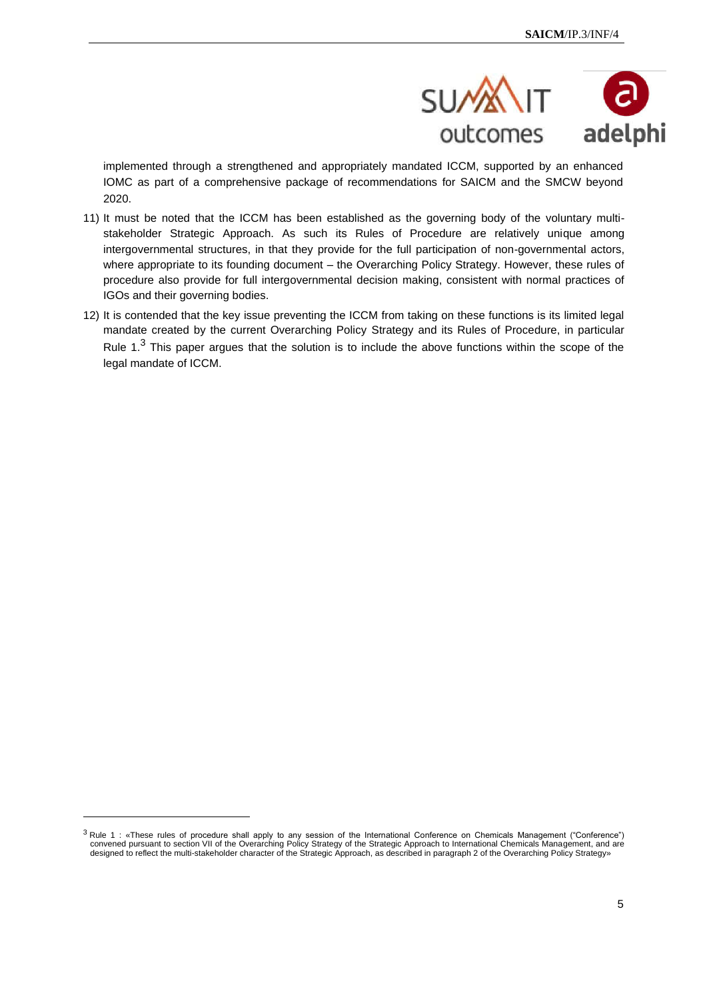

implemented through a strengthened and appropriately mandated ICCM, supported by an enhanced IOMC as part of a comprehensive package of recommendations for SAICM and the SMCW beyond 2020.

- 11) It must be noted that the ICCM has been established as the governing body of the voluntary multistakeholder Strategic Approach. As such its Rules of Procedure are relatively unique among intergovernmental structures, in that they provide for the full participation of non-governmental actors, where appropriate to its founding document – the Overarching Policy Strategy. However, these rules of procedure also provide for full intergovernmental decision making, consistent with normal practices of IGOs and their governing bodies.
- 12) It is contended that the key issue preventing the ICCM from taking on these functions is its limited legal mandate created by the current Overarching Policy Strategy and its Rules of Procedure, in particular Rule 1.<sup>3</sup> This paper argues that the solution is to include the above functions within the scope of the legal mandate of ICCM.

<sup>&</sup>lt;sup>3</sup> Rule 1: «These rules of procedure shall apply to any session of the International Conference on Chemicals Management ("Conference") convened pursuant to section VII of the Overarching Policy Strategy of the Strategic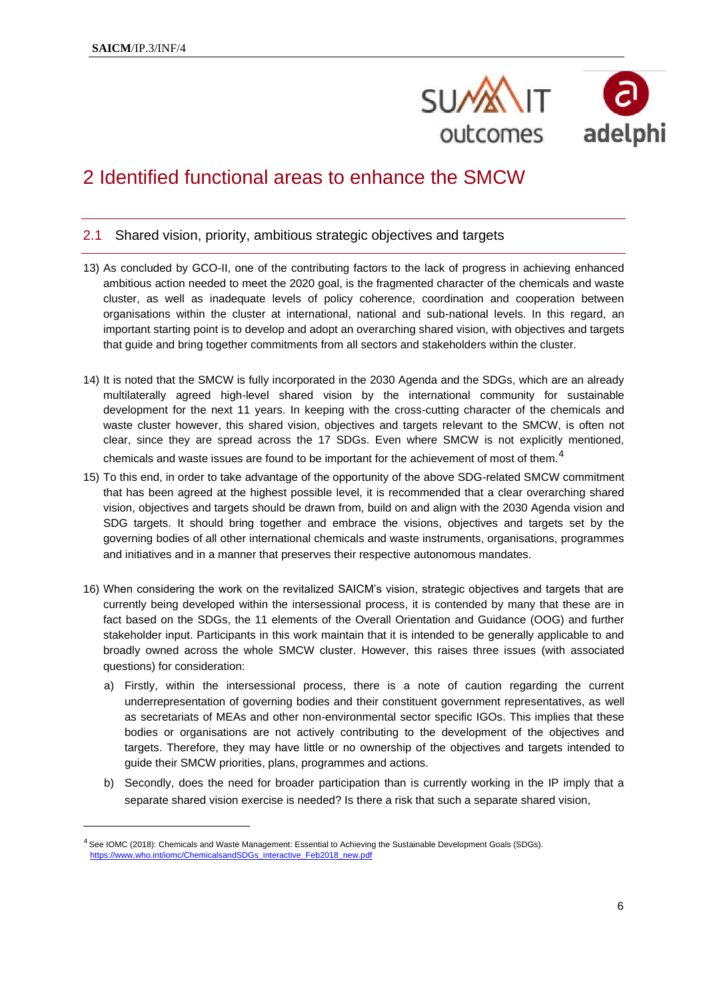

# 2 Identified functional areas to enhance the SMCW

#### 2.1 Shared vision, priority, ambitious strategic objectives and targets

- 13) As concluded by GCO-II, one of the contributing factors to the lack of progress in achieving enhanced ambitious action needed to meet the 2020 goal, is the fragmented character of the chemicals and waste cluster, as well as inadequate levels of policy coherence, coordination and cooperation between organisations within the cluster at international, national and sub-national levels. In this regard, an important starting point is to develop and adopt an overarching shared vision, with objectives and targets that guide and bring together commitments from all sectors and stakeholders within the cluster.
- 14) It is noted that the SMCW is fully incorporated in the 2030 Agenda and the SDGs, which are an already multilaterally agreed high-level shared vision by the international community for sustainable development for the next 11 years. In keeping with the cross-cutting character of the chemicals and waste cluster however, this shared vision, objectives and targets relevant to the SMCW, is often not clear, since they are spread across the 17 SDGs. Even where SMCW is not explicitly mentioned, chemicals and waste issues are found to be important for the achievement of most of them.<sup>4</sup>
- 15) To this end, in order to take advantage of the opportunity of the above SDG-related SMCW commitment that has been agreed at the highest possible level, it is recommended that a clear overarching shared vision, objectives and targets should be drawn from, build on and align with the 2030 Agenda vision and SDG targets. It should bring together and embrace the visions, objectives and targets set by the governing bodies of all other international chemicals and waste instruments, organisations, programmes and initiatives and in a manner that preserves their respective autonomous mandates.
- 16) When considering the work on the revitalized SAICM's vision, strategic objectives and targets that are currently being developed within the intersessional process, it is contended by many that these are in fact based on the SDGs, the 11 elements of the Overall Orientation and Guidance (OOG) and further stakeholder input. Participants in this work maintain that it is intended to be generally applicable to and broadly owned across the whole SMCW cluster. However, this raises three issues (with associated questions) for consideration:
	- a) Firstly, within the intersessional process, there is a note of caution regarding the current underrepresentation of governing bodies and their constituent government representatives, as well as secretariats of MEAs and other non-environmental sector specific IGOs. This implies that these bodies or organisations are not actively contributing to the development of the objectives and targets. Therefore, they may have little or no ownership of the objectives and targets intended to guide their SMCW priorities, plans, programmes and actions.
	- b) Secondly, does the need for broader participation than is currently working in the IP imply that a separate shared vision exercise is needed? Is there a risk that such a separate shared vision,

<sup>&</sup>lt;sup>4</sup> See IOMC (2018): Chemicals and Waste Management: Essential to Achieving the Sustainable Development Goals (SDGs). https://www.who.int/iomc/ChemicalsandSDGs\_interactive\_Feb2018\_new.pdf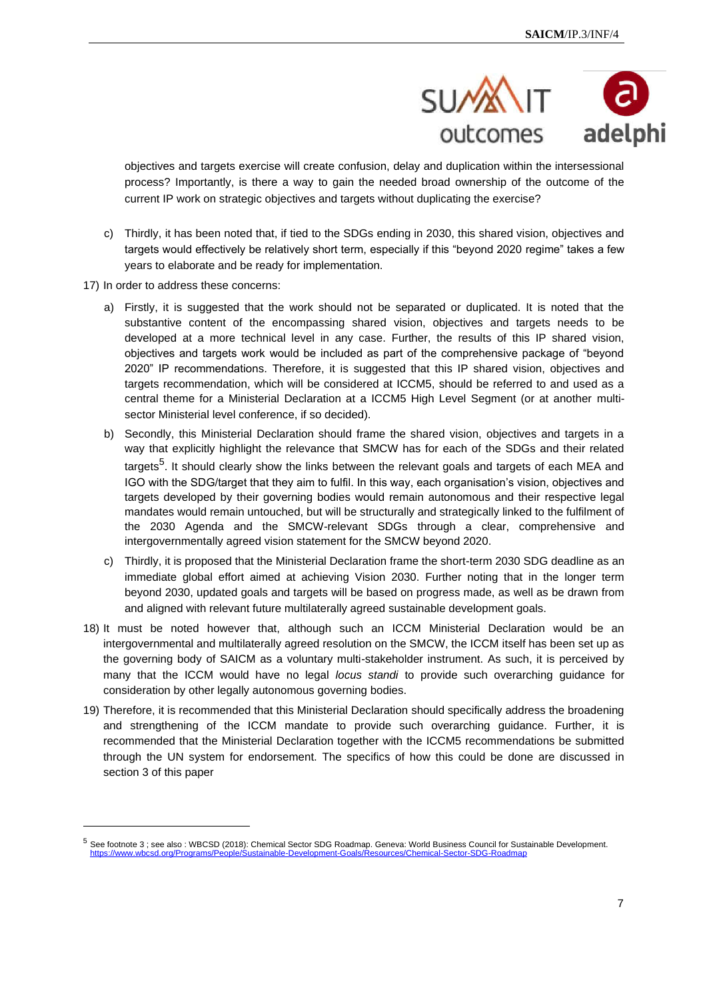

objectives and targets exercise will create confusion, delay and duplication within the intersessional process? Importantly, is there a way to gain the needed broad ownership of the outcome of the current IP work on strategic objectives and targets without duplicating the exercise?

- c) Thirdly, it has been noted that, if tied to the SDGs ending in 2030, this shared vision, objectives and targets would effectively be relatively short term, especially if this "beyond 2020 regime" takes a few years to elaborate and be ready for implementation.
- 17) In order to address these concerns:
	- a) Firstly, it is suggested that the work should not be separated or duplicated. It is noted that the substantive content of the encompassing shared vision, objectives and targets needs to be developed at a more technical level in any case. Further, the results of this IP shared vision, objectives and targets work would be included as part of the comprehensive package of "beyond 2020" IP recommendations. Therefore, it is suggested that this IP shared vision, objectives and targets recommendation, which will be considered at ICCM5, should be referred to and used as a central theme for a Ministerial Declaration at a ICCM5 High Level Segment (or at another multisector Ministerial level conference, if so decided).
	- b) Secondly, this Ministerial Declaration should frame the shared vision, objectives and targets in a way that explicitly highlight the relevance that SMCW has for each of the SDGs and their related targets<sup>5</sup>. It should clearly show the links between the relevant goals and targets of each MEA and IGO with the SDG/target that they aim to fulfil. In this way, each organisation's vision, objectives and targets developed by their governing bodies would remain autonomous and their respective legal mandates would remain untouched, but will be structurally and strategically linked to the fulfilment of the 2030 Agenda and the SMCW-relevant SDGs through a clear, comprehensive and intergovernmentally agreed vision statement for the SMCW beyond 2020.
	- c) Thirdly, it is proposed that the Ministerial Declaration frame the short-term 2030 SDG deadline as an immediate global effort aimed at achieving Vision 2030. Further noting that in the longer term beyond 2030, updated goals and targets will be based on progress made, as well as be drawn from and aligned with relevant future multilaterally agreed sustainable development goals.
- 18) It must be noted however that, although such an ICCM Ministerial Declaration would be an intergovernmental and multilaterally agreed resolution on the SMCW, the ICCM itself has been set up as the governing body of SAICM as a voluntary multi-stakeholder instrument. As such, it is perceived by many that the ICCM would have no legal *locus standi* to provide such overarching guidance for consideration by other legally autonomous governing bodies.
- 19) Therefore, it is recommended that this Ministerial Declaration should specifically address the broadening and strengthening of the ICCM mandate to provide such overarching guidance. Further, it is recommended that the Ministerial Declaration together with the ICCM5 recommendations be submitted through the UN system for endorsement. The specifics of how this could be done are discussed in section 3 of this paper

<sup>5</sup> See footnote 3 ; see also : WBCSD (2018): Chemical Sector SDG Roadmap. Geneva: World Business Council for Sustainable Development. https://www.wbcsd.org/Programs/People/Sustainable-Development-Goals/Resources/Chemical-Sector-SDG-Roadmap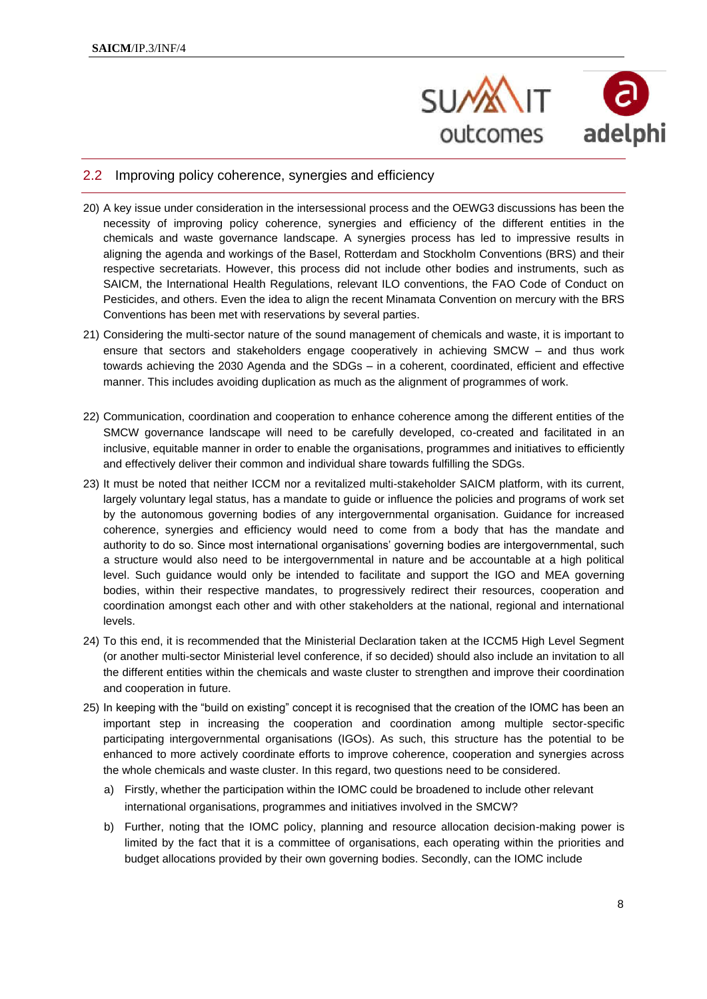

#### 2.2 Improving policy coherence, synergies and efficiency

- 20) A key issue under consideration in the intersessional process and the OEWG3 discussions has been the necessity of improving policy coherence, synergies and efficiency of the different entities in the chemicals and waste governance landscape. A synergies process has led to impressive results in aligning the agenda and workings of the Basel, Rotterdam and Stockholm Conventions (BRS) and their respective secretariats. However, this process did not include other bodies and instruments, such as SAICM, the International Health Regulations, relevant ILO conventions, the FAO Code of Conduct on Pesticides, and others. Even the idea to align the recent Minamata Convention on mercury with the BRS Conventions has been met with reservations by several parties.
- 21) Considering the multi-sector nature of the sound management of chemicals and waste, it is important to ensure that sectors and stakeholders engage cooperatively in achieving SMCW – and thus work towards achieving the 2030 Agenda and the SDGs – in a coherent, coordinated, efficient and effective manner. This includes avoiding duplication as much as the alignment of programmes of work.
- 22) Communication, coordination and cooperation to enhance coherence among the different entities of the SMCW governance landscape will need to be carefully developed, co-created and facilitated in an inclusive, equitable manner in order to enable the organisations, programmes and initiatives to efficiently and effectively deliver their common and individual share towards fulfilling the SDGs.
- 23) It must be noted that neither ICCM nor a revitalized multi-stakeholder SAICM platform, with its current, largely voluntary legal status, has a mandate to guide or influence the policies and programs of work set by the autonomous governing bodies of any intergovernmental organisation. Guidance for increased coherence, synergies and efficiency would need to come from a body that has the mandate and authority to do so. Since most international organisations' governing bodies are intergovernmental, such a structure would also need to be intergovernmental in nature and be accountable at a high political level. Such guidance would only be intended to facilitate and support the IGO and MEA governing bodies, within their respective mandates, to progressively redirect their resources, cooperation and coordination amongst each other and with other stakeholders at the national, regional and international levels.
- 24) To this end, it is recommended that the Ministerial Declaration taken at the ICCM5 High Level Segment (or another multi-sector Ministerial level conference, if so decided) should also include an invitation to all the different entities within the chemicals and waste cluster to strengthen and improve their coordination and cooperation in future.
- 25) In keeping with the "build on existing" concept it is recognised that the creation of the IOMC has been an important step in increasing the cooperation and coordination among multiple sector-specific participating intergovernmental organisations (IGOs). As such, this structure has the potential to be enhanced to more actively coordinate efforts to improve coherence, cooperation and synergies across the whole chemicals and waste cluster. In this regard, two questions need to be considered.
	- a) Firstly, whether the participation within the IOMC could be broadened to include other relevant international organisations, programmes and initiatives involved in the SMCW?
	- b) Further, noting that the IOMC policy, planning and resource allocation decision-making power is limited by the fact that it is a committee of organisations, each operating within the priorities and budget allocations provided by their own governing bodies. Secondly, can the IOMC include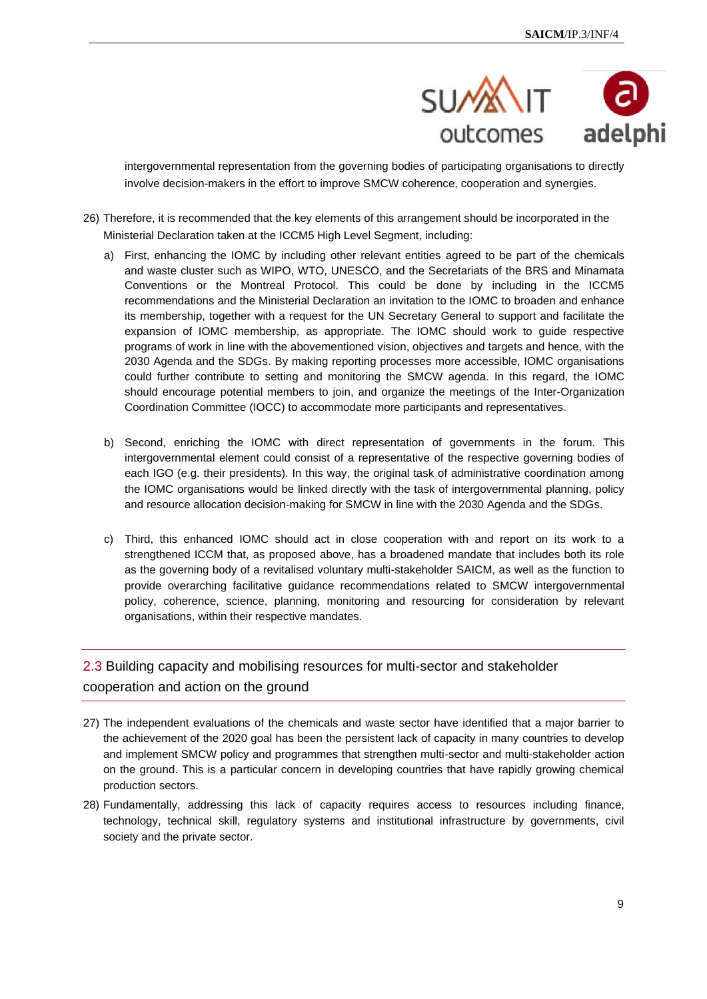

intergovernmental representation from the governing bodies of participating organisations to directly involve decision-makers in the effort to improve SMCW coherence, cooperation and synergies.

- 26) Therefore, it is recommended that the key elements of this arrangement should be incorporated in the Ministerial Declaration taken at the ICCM5 High Level Segment, including:
	- a) First, enhancing the IOMC by including other relevant entities agreed to be part of the chemicals and waste cluster such as WIPO, WTO, UNESCO, and the Secretariats of the BRS and Minamata Conventions or the Montreal Protocol. This could be done by including in the ICCM5 recommendations and the Ministerial Declaration an invitation to the IOMC to broaden and enhance its membership, together with a request for the UN Secretary General to support and facilitate the expansion of IOMC membership, as appropriate. The IOMC should work to guide respective programs of work in line with the abovementioned vision, objectives and targets and hence, with the 2030 Agenda and the SDGs. By making reporting processes more accessible, IOMC organisations could further contribute to setting and monitoring the SMCW agenda. In this regard, the IOMC should encourage potential members to join, and organize the meetings of the Inter-Organization Coordination Committee (IOCC) to accommodate more participants and representatives.
	- b) Second, enriching the IOMC with direct representation of governments in the forum. This intergovernmental element could consist of a representative of the respective governing bodies of each IGO (e.g. their presidents). In this way, the original task of administrative coordination among the IOMC organisations would be linked directly with the task of intergovernmental planning, policy and resource allocation decision-making for SMCW in line with the 2030 Agenda and the SDGs.
	- c) Third, this enhanced IOMC should act in close cooperation with and report on its work to a strengthened ICCM that, as proposed above, has a broadened mandate that includes both its role as the governing body of a revitalised voluntary multi-stakeholder SAICM, as well as the function to provide overarching facilitative guidance recommendations related to SMCW intergovernmental policy, coherence, science, planning, monitoring and resourcing for consideration by relevant organisations, within their respective mandates.

### 2.3 Building capacity and mobilising resources for multi-sector and stakeholder cooperation and action on the ground

- 27) The independent evaluations of the chemicals and waste sector have identified that a major barrier to the achievement of the 2020 goal has been the persistent lack of capacity in many countries to develop and implement SMCW policy and programmes that strengthen multi-sector and multi-stakeholder action on the ground. This is a particular concern in developing countries that have rapidly growing chemical production sectors.
- 28) Fundamentally, addressing this lack of capacity requires access to resources including finance, technology, technical skill, regulatory systems and institutional infrastructure by governments, civil society and the private sector.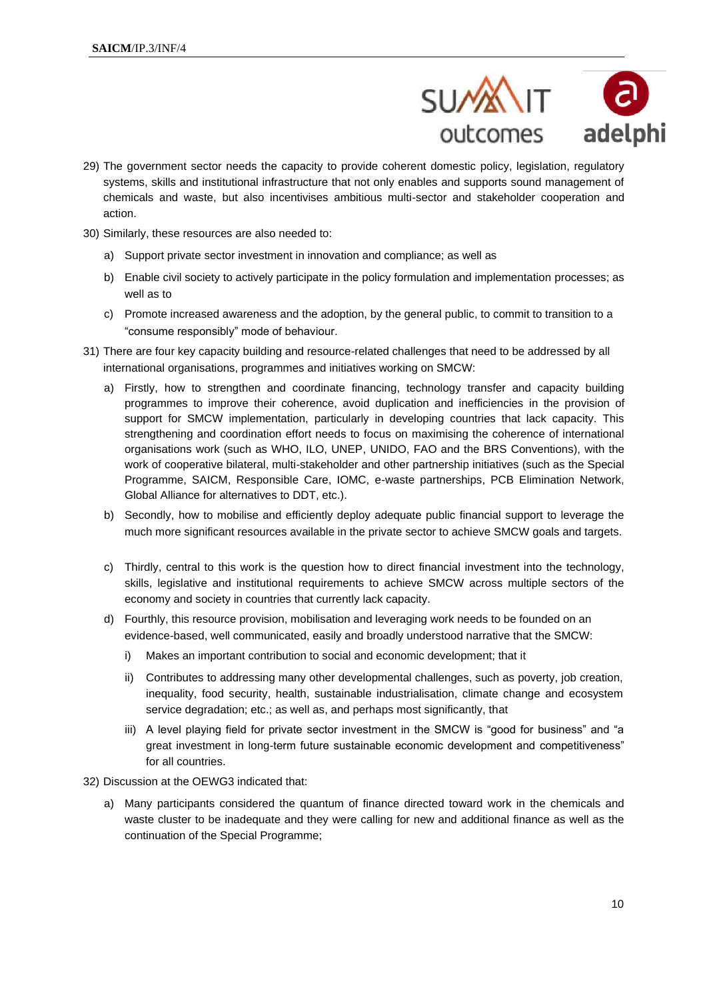

- 29) The government sector needs the capacity to provide coherent domestic policy, legislation, regulatory systems, skills and institutional infrastructure that not only enables and supports sound management of chemicals and waste, but also incentivises ambitious multi-sector and stakeholder cooperation and action.
- 30) Similarly, these resources are also needed to:
	- a) Support private sector investment in innovation and compliance; as well as
	- b) Enable civil society to actively participate in the policy formulation and implementation processes; as well as to
	- c) Promote increased awareness and the adoption, by the general public, to commit to transition to a "consume responsibly" mode of behaviour.
- 31) There are four key capacity building and resource-related challenges that need to be addressed by all international organisations, programmes and initiatives working on SMCW:
	- a) Firstly, how to strengthen and coordinate financing, technology transfer and capacity building programmes to improve their coherence, avoid duplication and inefficiencies in the provision of support for SMCW implementation, particularly in developing countries that lack capacity. This strengthening and coordination effort needs to focus on maximising the coherence of international organisations work (such as WHO, ILO, UNEP, UNIDO, FAO and the BRS Conventions), with the work of cooperative bilateral, multi-stakeholder and other partnership initiatives (such as the Special Programme, SAICM, Responsible Care, IOMC, e-waste partnerships, PCB Elimination Network, Global Alliance for alternatives to DDT, etc.).
	- b) Secondly, how to mobilise and efficiently deploy adequate public financial support to leverage the much more significant resources available in the private sector to achieve SMCW goals and targets.
	- c) Thirdly, central to this work is the question how to direct financial investment into the technology, skills, legislative and institutional requirements to achieve SMCW across multiple sectors of the economy and society in countries that currently lack capacity.
	- d) Fourthly, this resource provision, mobilisation and leveraging work needs to be founded on an evidence-based, well communicated, easily and broadly understood narrative that the SMCW:
		- i) Makes an important contribution to social and economic development; that it
		- ii) Contributes to addressing many other developmental challenges, such as poverty, job creation, inequality, food security, health, sustainable industrialisation, climate change and ecosystem service degradation; etc.; as well as, and perhaps most significantly, that
		- iii) A level playing field for private sector investment in the SMCW is "good for business" and "a great investment in long-term future sustainable economic development and competitiveness" for all countries.
- 32) Discussion at the OEWG3 indicated that:
	- a) Many participants considered the quantum of finance directed toward work in the chemicals and waste cluster to be inadequate and they were calling for new and additional finance as well as the continuation of the Special Programme;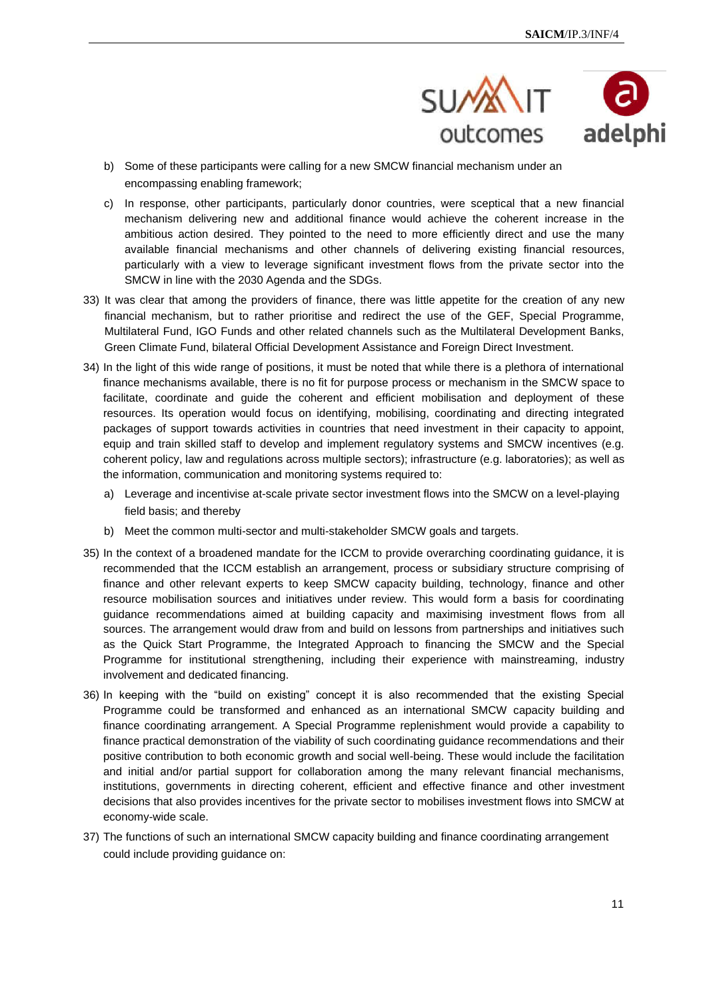

- b) Some of these participants were calling for a new SMCW financial mechanism under an encompassing enabling framework;
- c) In response, other participants, particularly donor countries, were sceptical that a new financial mechanism delivering new and additional finance would achieve the coherent increase in the ambitious action desired. They pointed to the need to more efficiently direct and use the many available financial mechanisms and other channels of delivering existing financial resources, particularly with a view to leverage significant investment flows from the private sector into the SMCW in line with the 2030 Agenda and the SDGs.
- 33) It was clear that among the providers of finance, there was little appetite for the creation of any new financial mechanism, but to rather prioritise and redirect the use of the GEF, Special Programme, Multilateral Fund, IGO Funds and other related channels such as the Multilateral Development Banks, Green Climate Fund, bilateral Official Development Assistance and Foreign Direct Investment.
- 34) In the light of this wide range of positions, it must be noted that while there is a plethora of international finance mechanisms available, there is no fit for purpose process or mechanism in the SMCW space to facilitate, coordinate and guide the coherent and efficient mobilisation and deployment of these resources. Its operation would focus on identifying, mobilising, coordinating and directing integrated packages of support towards activities in countries that need investment in their capacity to appoint, equip and train skilled staff to develop and implement regulatory systems and SMCW incentives (e.g. coherent policy, law and regulations across multiple sectors); infrastructure (e.g. laboratories); as well as the information, communication and monitoring systems required to:
	- a) Leverage and incentivise at-scale private sector investment flows into the SMCW on a level-playing field basis; and thereby
	- b) Meet the common multi-sector and multi-stakeholder SMCW goals and targets.
- 35) In the context of a broadened mandate for the ICCM to provide overarching coordinating guidance, it is recommended that the ICCM establish an arrangement, process or subsidiary structure comprising of finance and other relevant experts to keep SMCW capacity building, technology, finance and other resource mobilisation sources and initiatives under review. This would form a basis for coordinating guidance recommendations aimed at building capacity and maximising investment flows from all sources. The arrangement would draw from and build on lessons from partnerships and initiatives such as the Quick Start Programme, the Integrated Approach to financing the SMCW and the Special Programme for institutional strengthening, including their experience with mainstreaming, industry involvement and dedicated financing.
- 36) In keeping with the "build on existing" concept it is also recommended that the existing Special Programme could be transformed and enhanced as an international SMCW capacity building and finance coordinating arrangement. A Special Programme replenishment would provide a capability to finance practical demonstration of the viability of such coordinating guidance recommendations and their positive contribution to both economic growth and social well-being. These would include the facilitation and initial and/or partial support for collaboration among the many relevant financial mechanisms, institutions, governments in directing coherent, efficient and effective finance and other investment decisions that also provides incentives for the private sector to mobilises investment flows into SMCW at economy-wide scale.
- 37) The functions of such an international SMCW capacity building and finance coordinating arrangement could include providing guidance on: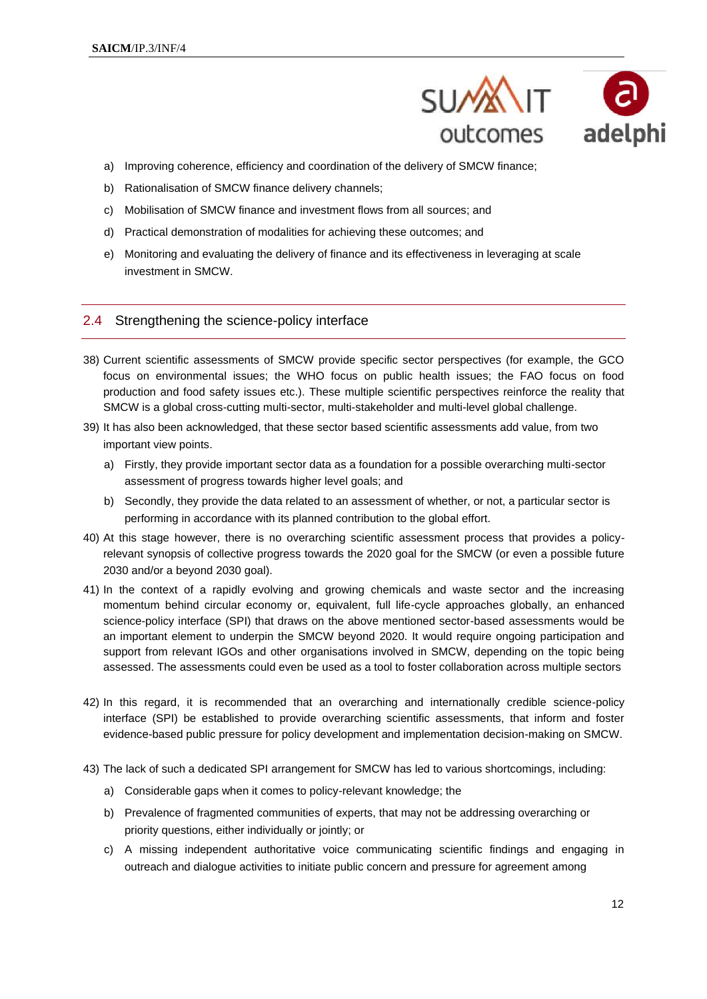

- a) Improving coherence, efficiency and coordination of the delivery of SMCW finance;
- b) Rationalisation of SMCW finance delivery channels;
- c) Mobilisation of SMCW finance and investment flows from all sources; and
- d) Practical demonstration of modalities for achieving these outcomes; and
- e) Monitoring and evaluating the delivery of finance and its effectiveness in leveraging at scale investment in SMCW.

#### 2.4 Strengthening the science-policy interface

- 38) Current scientific assessments of SMCW provide specific sector perspectives (for example, the GCO focus on environmental issues; the WHO focus on public health issues; the FAO focus on food production and food safety issues etc.). These multiple scientific perspectives reinforce the reality that SMCW is a global cross-cutting multi-sector, multi-stakeholder and multi-level global challenge.
- 39) It has also been acknowledged, that these sector based scientific assessments add value, from two important view points.
	- a) Firstly, they provide important sector data as a foundation for a possible overarching multi-sector assessment of progress towards higher level goals; and
	- b) Secondly, they provide the data related to an assessment of whether, or not, a particular sector is performing in accordance with its planned contribution to the global effort.
- 40) At this stage however, there is no overarching scientific assessment process that provides a policyrelevant synopsis of collective progress towards the 2020 goal for the SMCW (or even a possible future 2030 and/or a beyond 2030 goal).
- 41) In the context of a rapidly evolving and growing chemicals and waste sector and the increasing momentum behind circular economy or, equivalent, full life-cycle approaches globally, an enhanced science-policy interface (SPI) that draws on the above mentioned sector-based assessments would be an important element to underpin the SMCW beyond 2020. It would require ongoing participation and support from relevant IGOs and other organisations involved in SMCW, depending on the topic being assessed. The assessments could even be used as a tool to foster collaboration across multiple sectors
- 42) In this regard, it is recommended that an overarching and internationally credible science-policy interface (SPI) be established to provide overarching scientific assessments, that inform and foster evidence-based public pressure for policy development and implementation decision-making on SMCW.
- 43) The lack of such a dedicated SPI arrangement for SMCW has led to various shortcomings, including:
	- a) Considerable gaps when it comes to policy-relevant knowledge; the
	- b) Prevalence of fragmented communities of experts, that may not be addressing overarching or priority questions, either individually or jointly; or
	- c) A missing independent authoritative voice communicating scientific findings and engaging in outreach and dialogue activities to initiate public concern and pressure for agreement among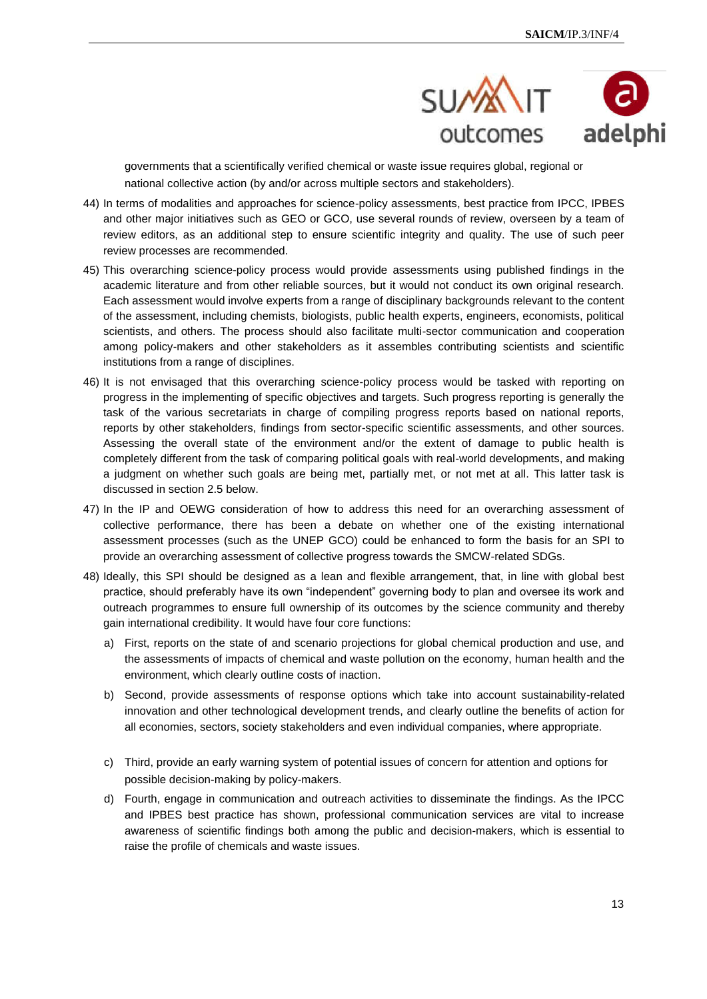

governments that a scientifically verified chemical or waste issue requires global, regional or national collective action (by and/or across multiple sectors and stakeholders).

- 44) In terms of modalities and approaches for science-policy assessments, best practice from IPCC, IPBES and other major initiatives such as GEO or GCO, use several rounds of review, overseen by a team of review editors, as an additional step to ensure scientific integrity and quality. The use of such peer review processes are recommended.
- 45) This overarching science-policy process would provide assessments using published findings in the academic literature and from other reliable sources, but it would not conduct its own original research. Each assessment would involve experts from a range of disciplinary backgrounds relevant to the content of the assessment, including chemists, biologists, public health experts, engineers, economists, political scientists, and others. The process should also facilitate multi-sector communication and cooperation among policy-makers and other stakeholders as it assembles contributing scientists and scientific institutions from a range of disciplines.
- 46) It is not envisaged that this overarching science-policy process would be tasked with reporting on progress in the implementing of specific objectives and targets. Such progress reporting is generally the task of the various secretariats in charge of compiling progress reports based on national reports, reports by other stakeholders, findings from sector-specific scientific assessments, and other sources. Assessing the overall state of the environment and/or the extent of damage to public health is completely different from the task of comparing political goals with real-world developments, and making a judgment on whether such goals are being met, partially met, or not met at all. This latter task is discussed in section 2.5 below.
- 47) In the IP and OEWG consideration of how to address this need for an overarching assessment of collective performance, there has been a debate on whether one of the existing international assessment processes (such as the UNEP GCO) could be enhanced to form the basis for an SPI to provide an overarching assessment of collective progress towards the SMCW-related SDGs.
- 48) Ideally, this SPI should be designed as a lean and flexible arrangement, that, in line with global best practice, should preferably have its own "independent" governing body to plan and oversee its work and outreach programmes to ensure full ownership of its outcomes by the science community and thereby gain international credibility. It would have four core functions:
	- a) First, reports on the state of and scenario projections for global chemical production and use, and the assessments of impacts of chemical and waste pollution on the economy, human health and the environment, which clearly outline costs of inaction.
	- b) Second, provide assessments of response options which take into account sustainability-related innovation and other technological development trends, and clearly outline the benefits of action for all economies, sectors, society stakeholders and even individual companies, where appropriate.
	- c) Third, provide an early warning system of potential issues of concern for attention and options for possible decision-making by policy-makers.
	- d) Fourth, engage in communication and outreach activities to disseminate the findings. As the IPCC and IPBES best practice has shown, professional communication services are vital to increase awareness of scientific findings both among the public and decision-makers, which is essential to raise the profile of chemicals and waste issues.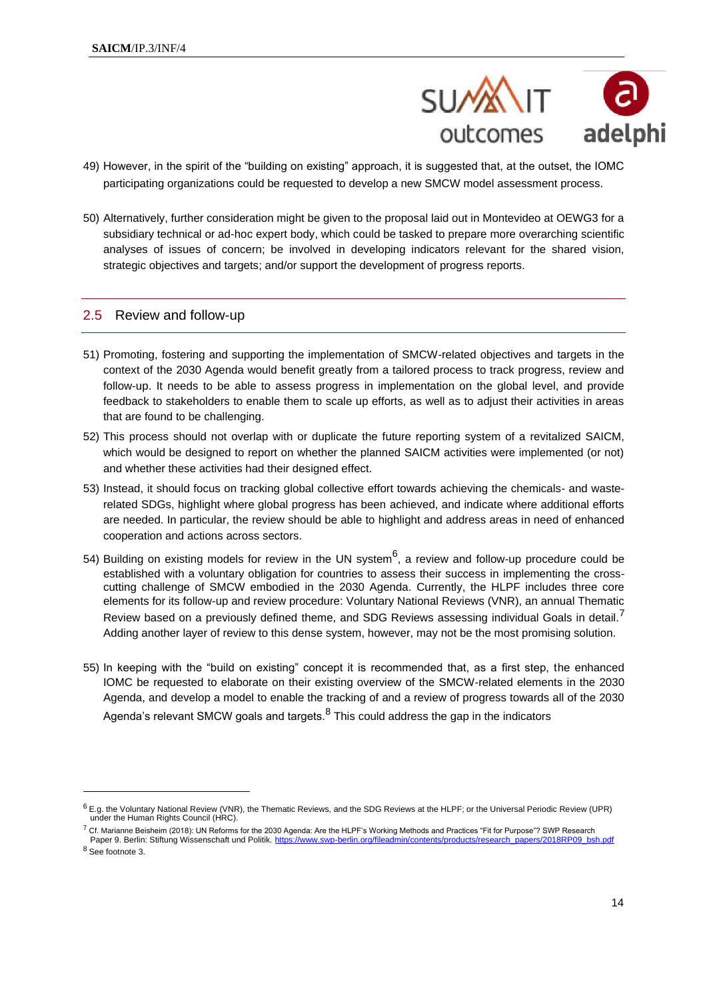

- 49) However, in the spirit of the "building on existing" approach, it is suggested that, at the outset, the IOMC participating organizations could be requested to develop a new SMCW model assessment process.
- 50) Alternatively, further consideration might be given to the proposal laid out in Montevideo at OEWG3 for a subsidiary technical or ad-hoc expert body, which could be tasked to prepare more overarching scientific analyses of issues of concern; be involved in developing indicators relevant for the shared vision, strategic objectives and targets; and/or support the development of progress reports.

#### 2.5 Review and follow-up

- 51) Promoting, fostering and supporting the implementation of SMCW-related objectives and targets in the context of the 2030 Agenda would benefit greatly from a tailored process to track progress, review and follow-up. It needs to be able to assess progress in implementation on the global level, and provide feedback to stakeholders to enable them to scale up efforts, as well as to adjust their activities in areas that are found to be challenging.
- 52) This process should not overlap with or duplicate the future reporting system of a revitalized SAICM, which would be designed to report on whether the planned SAICM activities were implemented (or not) and whether these activities had their designed effect.
- 53) Instead, it should focus on tracking global collective effort towards achieving the chemicals- and wasterelated SDGs, highlight where global progress has been achieved, and indicate where additional efforts are needed. In particular, the review should be able to highlight and address areas in need of enhanced cooperation and actions across sectors.
- 54) Building on existing models for review in the UN system<sup>6</sup>, a review and follow-up procedure could be established with a voluntary obligation for countries to assess their success in implementing the crosscutting challenge of SMCW embodied in the 2030 Agenda. Currently, the HLPF includes three core elements for its follow-up and review procedure: Voluntary National Reviews (VNR), an annual Thematic Review based on a previously defined theme, and SDG Reviews assessing individual Goals in detail.<sup>7</sup> Adding another layer of review to this dense system, however, may not be the most promising solution.
- 55) In keeping with the "build on existing" concept it is recommended that, as a first step, the enhanced IOMC be requested to elaborate on their existing overview of the SMCW-related elements in the 2030 Agenda, and develop a model to enable the tracking of and a review of progress towards all of the 2030 Agenda's relevant SMCW goals and targets. $^8$  This could address the gap in the indicators

 $6$  E.g. the Voluntary National Review (VNR), the Thematic Reviews, and the SDG Reviews at the HLPF; or the Universal Periodic Review (UPR) under the Human Rights Council (HRC).

 $^7$  Cf. Marianne Beisheim (2018): UN Reforms for the 2030 Agenda: Are the HLPF's Working Methods and Practices "Fit for Purpose"? SWP Research Paper 9. Berlin: Stiftung Wissenschaft und Politik. https://www.swp-berlin.org/fileadmin/contents/research.pdf

<sup>8</sup> See footnote 3.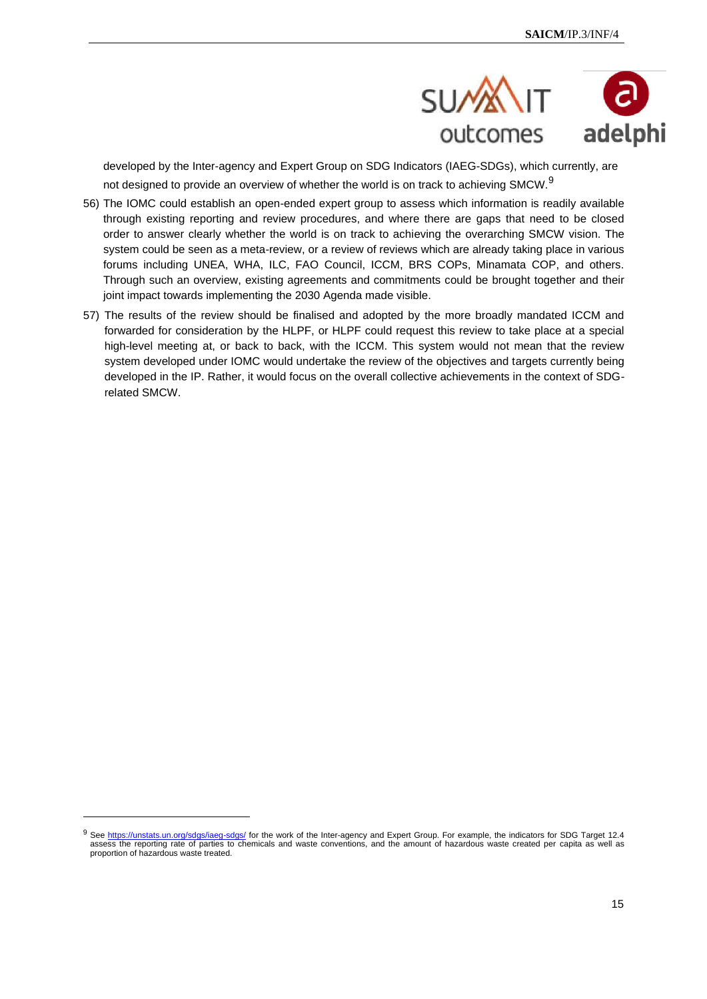

developed by the Inter-agency and Expert Group on SDG Indicators (IAEG-SDGs), which currently, are not designed to provide an overview of whether the world is on track to achieving SMCW.<sup>9</sup>

- 56) The IOMC could establish an open-ended expert group to assess which information is readily available through existing reporting and review procedures, and where there are gaps that need to be closed order to answer clearly whether the world is on track to achieving the overarching SMCW vision. The system could be seen as a meta-review, or a review of reviews which are already taking place in various forums including UNEA, WHA, ILC, FAO Council, ICCM, BRS COPs, Minamata COP, and others. Through such an overview, existing agreements and commitments could be brought together and their joint impact towards implementing the 2030 Agenda made visible.
- 57) The results of the review should be finalised and adopted by the more broadly mandated ICCM and forwarded for consideration by the HLPF, or HLPF could request this review to take place at a special high-level meeting at, or back to back, with the ICCM. This system would not mean that the review system developed under IOMC would undertake the review of the objectives and targets currently being developed in the IP. Rather, it would focus on the overall collective achievements in the context of SDGrelated SMCW.

<sup>9</sup> See https://unstats.un.org/sdgs/iaeg-sdgs/ for the work of the Inter-agency and Expert Group. For example, the indicators for SDG Target 12.4 assess the reporting rate of parties to chemicals and waste conventions, and the amount of hazardous waste created per capita as well as proportion of hazardous waste treated.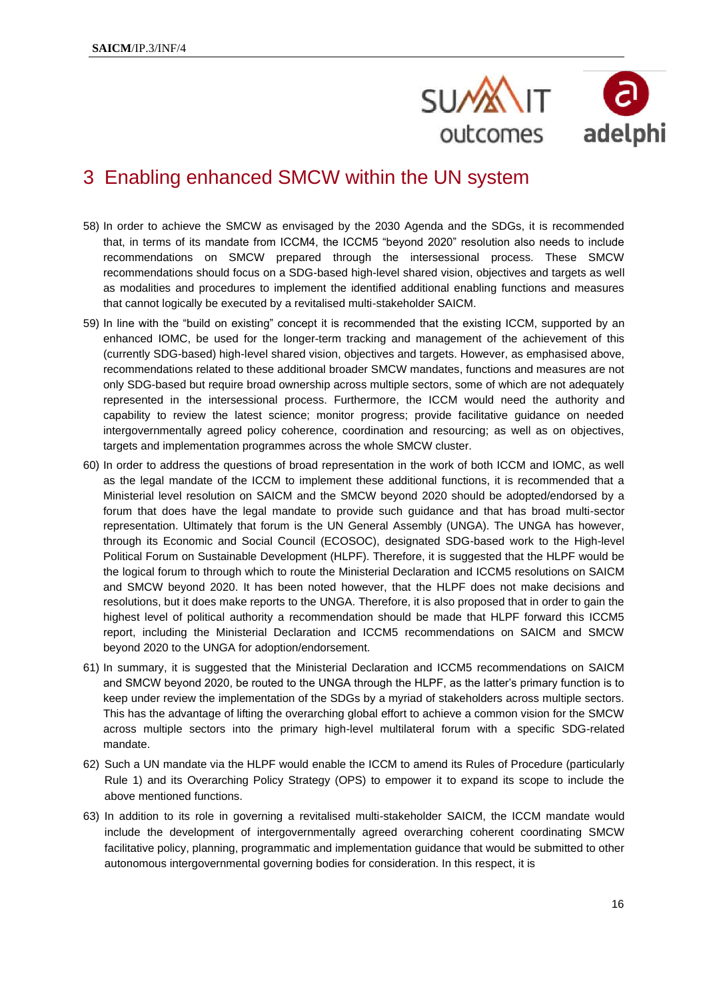

# 3 Enabling enhanced SMCW within the UN system

- 58) In order to achieve the SMCW as envisaged by the 2030 Agenda and the SDGs, it is recommended that, in terms of its mandate from ICCM4, the ICCM5 "beyond 2020" resolution also needs to include recommendations on SMCW prepared through the intersessional process. These SMCW recommendations should focus on a SDG-based high-level shared vision, objectives and targets as well as modalities and procedures to implement the identified additional enabling functions and measures that cannot logically be executed by a revitalised multi-stakeholder SAICM.
- 59) In line with the "build on existing" concept it is recommended that the existing ICCM, supported by an enhanced IOMC, be used for the longer-term tracking and management of the achievement of this (currently SDG-based) high-level shared vision, objectives and targets. However, as emphasised above, recommendations related to these additional broader SMCW mandates, functions and measures are not only SDG-based but require broad ownership across multiple sectors, some of which are not adequately represented in the intersessional process. Furthermore, the ICCM would need the authority and capability to review the latest science; monitor progress; provide facilitative guidance on needed intergovernmentally agreed policy coherence, coordination and resourcing; as well as on objectives, targets and implementation programmes across the whole SMCW cluster.
- 60) In order to address the questions of broad representation in the work of both ICCM and IOMC, as well as the legal mandate of the ICCM to implement these additional functions, it is recommended that a Ministerial level resolution on SAICM and the SMCW beyond 2020 should be adopted/endorsed by a forum that does have the legal mandate to provide such guidance and that has broad multi-sector representation. Ultimately that forum is the UN General Assembly (UNGA). The UNGA has however, through its Economic and Social Council (ECOSOC), designated SDG-based work to the High-level Political Forum on Sustainable Development (HLPF). Therefore, it is suggested that the HLPF would be the logical forum to through which to route the Ministerial Declaration and ICCM5 resolutions on SAICM and SMCW beyond 2020. It has been noted however, that the HLPF does not make decisions and resolutions, but it does make reports to the UNGA. Therefore, it is also proposed that in order to gain the highest level of political authority a recommendation should be made that HLPF forward this ICCM5 report, including the Ministerial Declaration and ICCM5 recommendations on SAICM and SMCW beyond 2020 to the UNGA for adoption/endorsement.
- 61) In summary, it is suggested that the Ministerial Declaration and ICCM5 recommendations on SAICM and SMCW beyond 2020, be routed to the UNGA through the HLPF, as the latter's primary function is to keep under review the implementation of the SDGs by a myriad of stakeholders across multiple sectors. This has the advantage of lifting the overarching global effort to achieve a common vision for the SMCW across multiple sectors into the primary high-level multilateral forum with a specific SDG-related mandate.
- 62) Such a UN mandate via the HLPF would enable the ICCM to amend its Rules of Procedure (particularly Rule 1) and its Overarching Policy Strategy (OPS) to empower it to expand its scope to include the above mentioned functions.
- 63) In addition to its role in governing a revitalised multi-stakeholder SAICM, the ICCM mandate would include the development of intergovernmentally agreed overarching coherent coordinating SMCW facilitative policy, planning, programmatic and implementation guidance that would be submitted to other autonomous intergovernmental governing bodies for consideration. In this respect, it is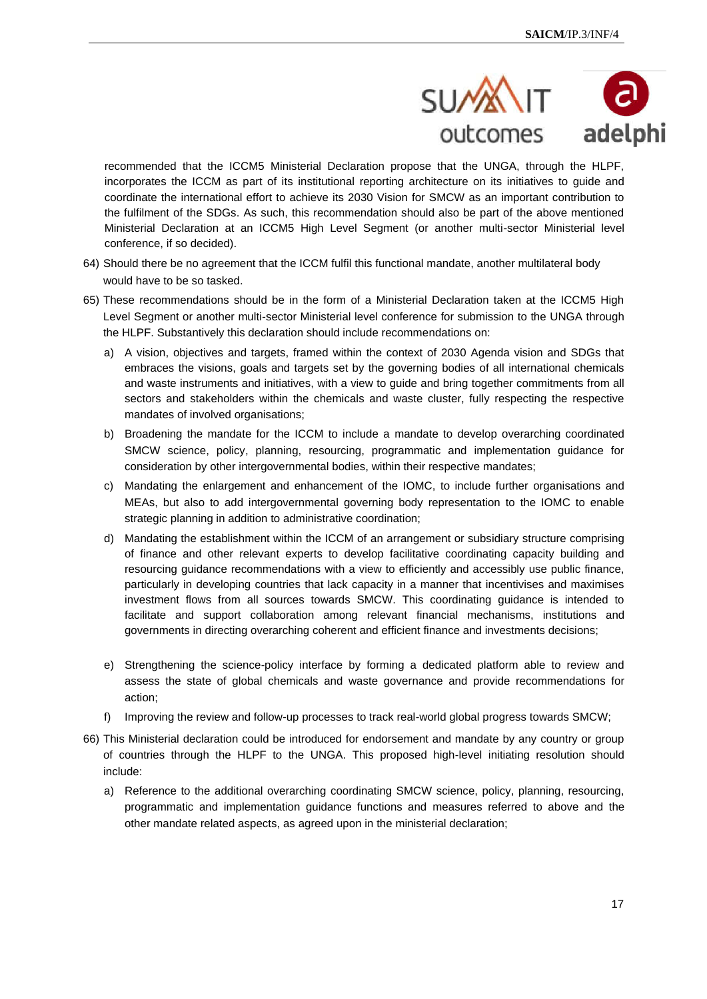

recommended that the ICCM5 Ministerial Declaration propose that the UNGA, through the HLPF, incorporates the ICCM as part of its institutional reporting architecture on its initiatives to guide and coordinate the international effort to achieve its 2030 Vision for SMCW as an important contribution to the fulfilment of the SDGs. As such, this recommendation should also be part of the above mentioned Ministerial Declaration at an ICCM5 High Level Segment (or another multi-sector Ministerial level conference, if so decided).

- 64) Should there be no agreement that the ICCM fulfil this functional mandate, another multilateral body would have to be so tasked.
- 65) These recommendations should be in the form of a Ministerial Declaration taken at the ICCM5 High Level Segment or another multi-sector Ministerial level conference for submission to the UNGA through the HLPF. Substantively this declaration should include recommendations on:
	- a) A vision, objectives and targets, framed within the context of 2030 Agenda vision and SDGs that embraces the visions, goals and targets set by the governing bodies of all international chemicals and waste instruments and initiatives, with a view to guide and bring together commitments from all sectors and stakeholders within the chemicals and waste cluster, fully respecting the respective mandates of involved organisations;
	- b) Broadening the mandate for the ICCM to include a mandate to develop overarching coordinated SMCW science, policy, planning, resourcing, programmatic and implementation guidance for consideration by other intergovernmental bodies, within their respective mandates;
	- c) Mandating the enlargement and enhancement of the IOMC, to include further organisations and MEAs, but also to add intergovernmental governing body representation to the IOMC to enable strategic planning in addition to administrative coordination;
	- d) Mandating the establishment within the ICCM of an arrangement or subsidiary structure comprising of finance and other relevant experts to develop facilitative coordinating capacity building and resourcing guidance recommendations with a view to efficiently and accessibly use public finance, particularly in developing countries that lack capacity in a manner that incentivises and maximises investment flows from all sources towards SMCW. This coordinating guidance is intended to facilitate and support collaboration among relevant financial mechanisms, institutions and governments in directing overarching coherent and efficient finance and investments decisions;
	- e) Strengthening the science-policy interface by forming a dedicated platform able to review and assess the state of global chemicals and waste governance and provide recommendations for action;
	- f) Improving the review and follow-up processes to track real-world global progress towards SMCW;
- 66) This Ministerial declaration could be introduced for endorsement and mandate by any country or group of countries through the HLPF to the UNGA. This proposed high-level initiating resolution should include:
	- a) Reference to the additional overarching coordinating SMCW science, policy, planning, resourcing, programmatic and implementation guidance functions and measures referred to above and the other mandate related aspects, as agreed upon in the ministerial declaration;